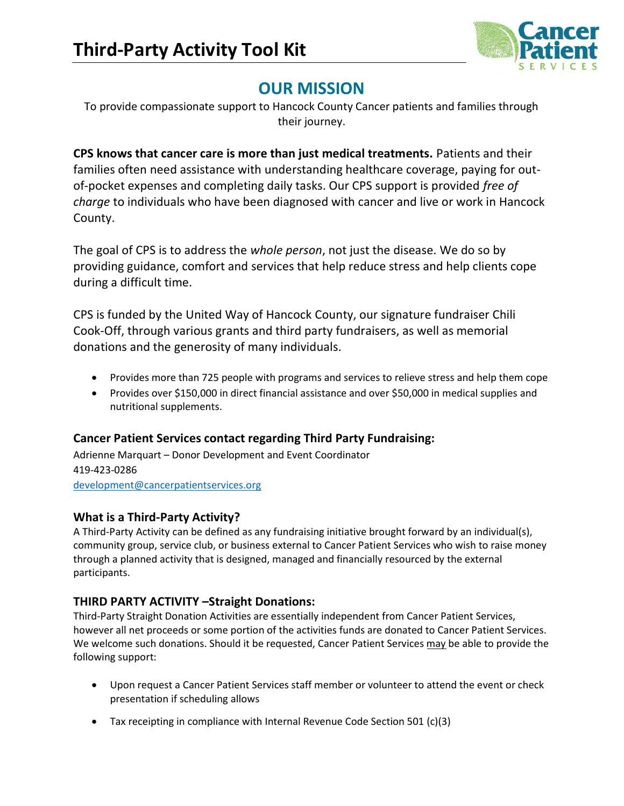

## OUR MISSION

To provide compassionate support to Hancock County Cancer patients and families through their journey.

CPS knows that cancer care is more than just medical treatments. Patients and their families often need assistance with understanding healthcare coverage, paying for outof-pocket expenses and completing daily tasks. Our CPS support is provided free of charge to individuals who have been diagnosed with cancer and live or work in Hancock County.

The goal of CPS is to address the whole person, not just the disease. We do so by providing guidance, comfort and services that help reduce stress and help clients cope during a difficult time.

CPS is funded by the United Way of Hancock County, our signature fundraiser Chili Cook-Off, through various grants and third party fundraisers, as well as memorial donations and the generosity of many individuals.

- Provides more than 725 people with programs and services to relieve stress and help them cope
- Provides over \$150,000 in direct financial assistance and over \$50,000 in medical supplies and nutritional supplements.

## Cancer Patient Services contact regarding Third Party Fundraising:

Adrienne Marquart – Donor Development and Event Coordinator 419-423-0286 development@cancerpatientservices.org

#### What is a Third-Party Activity?

A Third-Party Activity can be defined as any fundraising initiative brought forward by an individual(s), community group, service club, or business external to Cancer Patient Services who wish to raise money through a planned activity that is designed, managed and financially resourced by the external participants.

## THIRD PARTY ACTIVITY –Straight Donations:

Third-Party Straight Donation Activities are essentially independent from Cancer Patient Services, however all net proceeds or some portion of the activities funds are donated to Cancer Patient Services. We welcome such donations. Should it be requested, Cancer Patient Services may be able to provide the following support:

- Upon request a Cancer Patient Services staff member or volunteer to attend the event or check presentation if scheduling allows
- Tax receipting in compliance with Internal Revenue Code Section 501 (c)(3)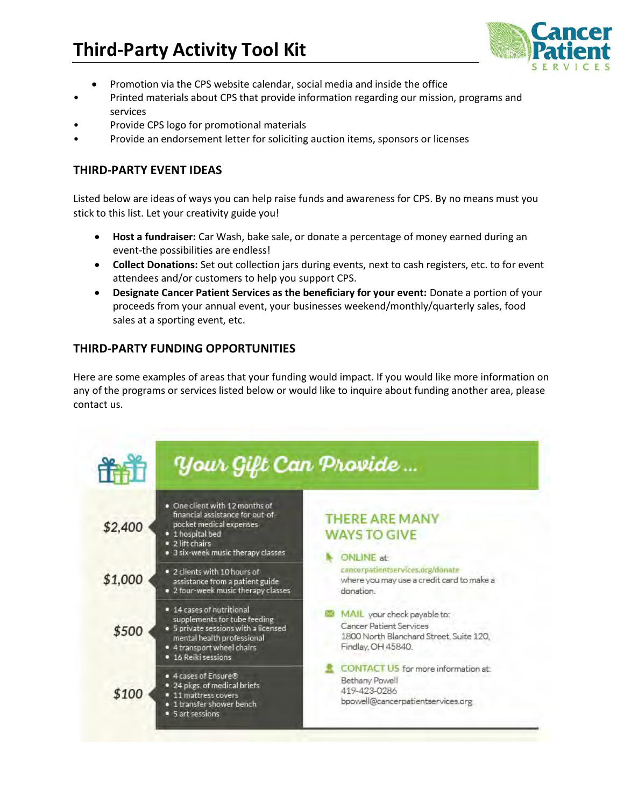

- Promotion via the CPS website calendar, social media and inside the office
- Printed materials about CPS that provide information regarding our mission, programs and services
- Provide CPS logo for promotional materials
- Provide an endorsement letter for soliciting auction items, sponsors or licenses

#### THIRD-PARTY EVENT IDEAS

Listed below are ideas of ways you can help raise funds and awareness for CPS. By no means must you stick to this list. Let your creativity guide you!

- Host a fundraiser: Car Wash, bake sale, or donate a percentage of money earned during an event-the possibilities are endless!
- Collect Donations: Set out collection jars during events, next to cash registers, etc. to for event attendees and/or customers to help you support CPS.
- Designate Cancer Patient Services as the beneficiary for your event: Donate a portion of your proceeds from your annual event, your businesses weekend/monthly/quarterly sales, food sales at a sporting event, etc.

## THIRD-PARTY FUNDING OPPORTUNITIES

Here are some examples of areas that your funding would impact. If you would like more information on any of the programs or services listed below or would like to inquire about funding another area, please contact us.

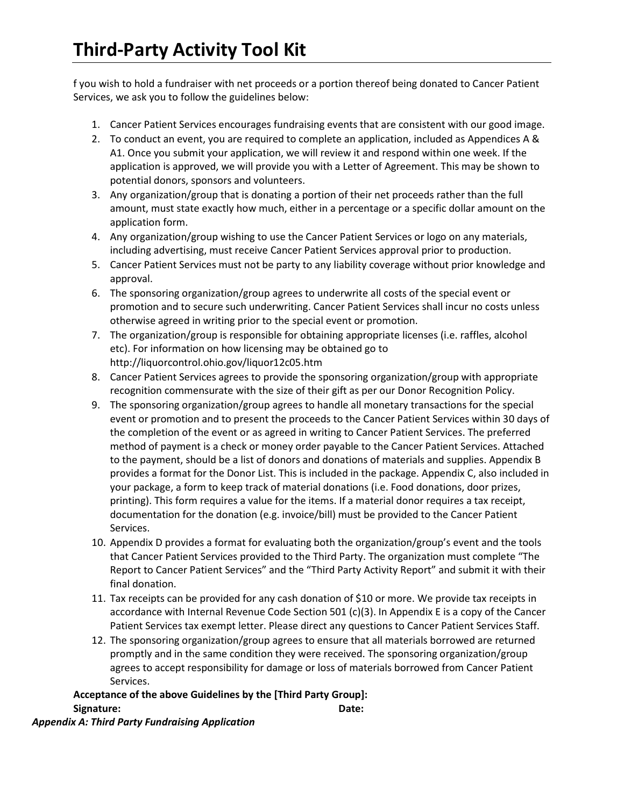f you wish to hold a fundraiser with net proceeds or a portion thereof being donated to Cancer Patient Services, we ask you to follow the guidelines below:

- 1. Cancer Patient Services encourages fundraising events that are consistent with our good image.
- 2. To conduct an event, you are required to complete an application, included as Appendices A & A1. Once you submit your application, we will review it and respond within one week. If the application is approved, we will provide you with a Letter of Agreement. This may be shown to potential donors, sponsors and volunteers.
- 3. Any organization/group that is donating a portion of their net proceeds rather than the full amount, must state exactly how much, either in a percentage or a specific dollar amount on the application form.
- 4. Any organization/group wishing to use the Cancer Patient Services or logo on any materials, including advertising, must receive Cancer Patient Services approval prior to production.
- 5. Cancer Patient Services must not be party to any liability coverage without prior knowledge and approval.
- 6. The sponsoring organization/group agrees to underwrite all costs of the special event or promotion and to secure such underwriting. Cancer Patient Services shall incur no costs unless otherwise agreed in writing prior to the special event or promotion.
- 7. The organization/group is responsible for obtaining appropriate licenses (i.e. raffles, alcohol etc). For information on how licensing may be obtained go to http://liquorcontrol.ohio.gov/liquor12c05.htm
- 8. Cancer Patient Services agrees to provide the sponsoring organization/group with appropriate recognition commensurate with the size of their gift as per our Donor Recognition Policy.
- 9. The sponsoring organization/group agrees to handle all monetary transactions for the special event or promotion and to present the proceeds to the Cancer Patient Services within 30 days of the completion of the event or as agreed in writing to Cancer Patient Services. The preferred method of payment is a check or money order payable to the Cancer Patient Services. Attached to the payment, should be a list of donors and donations of materials and supplies. Appendix B provides a format for the Donor List. This is included in the package. Appendix C, also included in your package, a form to keep track of material donations (i.e. Food donations, door prizes, printing). This form requires a value for the items. If a material donor requires a tax receipt, documentation for the donation (e.g. invoice/bill) must be provided to the Cancer Patient Services.
- 10. Appendix D provides a format for evaluating both the organization/group's event and the tools that Cancer Patient Services provided to the Third Party. The organization must complete "The Report to Cancer Patient Services" and the "Third Party Activity Report" and submit it with their final donation.
- 11. Tax receipts can be provided for any cash donation of \$10 or more. We provide tax receipts in accordance with Internal Revenue Code Section 501 (c)(3). In Appendix E is a copy of the Cancer Patient Services tax exempt letter. Please direct any questions to Cancer Patient Services Staff.
- 12. The sponsoring organization/group agrees to ensure that all materials borrowed are returned promptly and in the same condition they were received. The sponsoring organization/group agrees to accept responsibility for damage or loss of materials borrowed from Cancer Patient Services.

Acceptance of the above Guidelines by the [Third Party Group]: Signature: Date:

Appendix A: Third Party Fundraising Application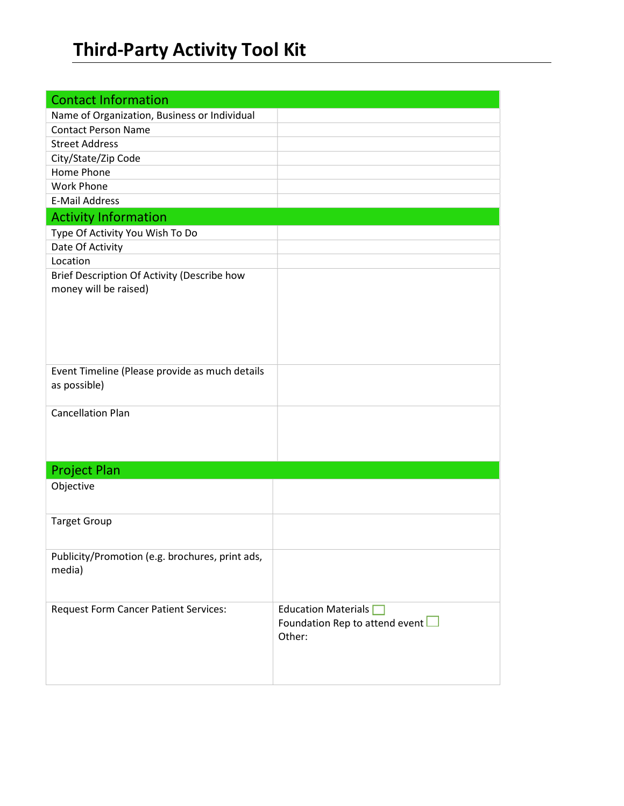| <b>Contact Information</b>                      |                                       |
|-------------------------------------------------|---------------------------------------|
| Name of Organization, Business or Individual    |                                       |
| <b>Contact Person Name</b>                      |                                       |
| <b>Street Address</b>                           |                                       |
| City/State/Zip Code                             |                                       |
| Home Phone                                      |                                       |
| <b>Work Phone</b>                               |                                       |
| <b>E-Mail Address</b>                           |                                       |
| <b>Activity Information</b>                     |                                       |
| Type Of Activity You Wish To Do                 |                                       |
| Date Of Activity                                |                                       |
| Location                                        |                                       |
| Brief Description Of Activity (Describe how     |                                       |
| money will be raised)                           |                                       |
|                                                 |                                       |
|                                                 |                                       |
|                                                 |                                       |
|                                                 |                                       |
|                                                 |                                       |
| Event Timeline (Please provide as much details  |                                       |
| as possible)                                    |                                       |
| <b>Cancellation Plan</b>                        |                                       |
|                                                 |                                       |
|                                                 |                                       |
|                                                 |                                       |
| <b>Project Plan</b>                             |                                       |
| Objective                                       |                                       |
|                                                 |                                       |
|                                                 |                                       |
| <b>Target Group</b>                             |                                       |
|                                                 |                                       |
| Publicity/Promotion (e.g. brochures, print ads, |                                       |
| media)                                          |                                       |
|                                                 |                                       |
|                                                 |                                       |
| <b>Request Form Cancer Patient Services:</b>    | Education Materials                   |
|                                                 | Foundation Rep to attend event $\Box$ |
|                                                 | Other:                                |
|                                                 |                                       |
|                                                 |                                       |
|                                                 |                                       |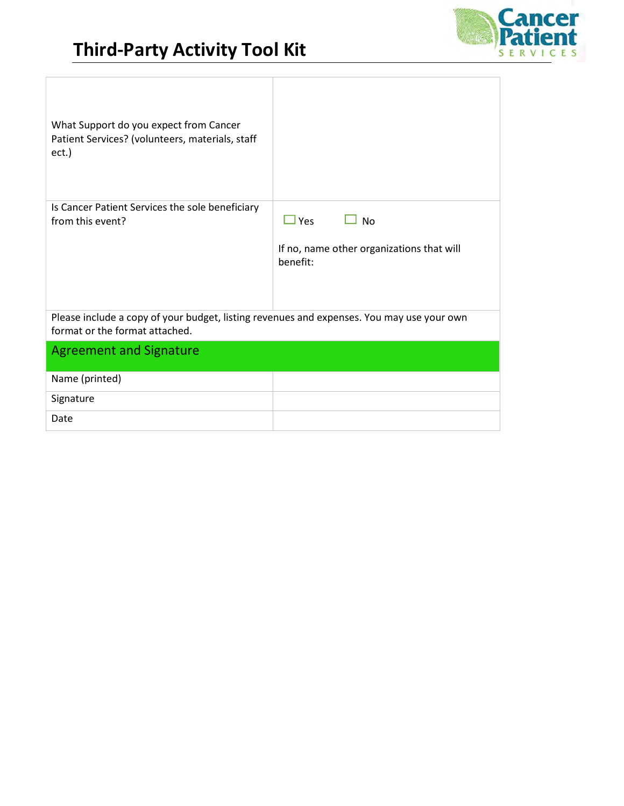

1

| What Support do you expect from Cancer<br>Patient Services? (volunteers, materials, staff<br>ect.)                          |                                                                                  |
|-----------------------------------------------------------------------------------------------------------------------------|----------------------------------------------------------------------------------|
| Is Cancer Patient Services the sole beneficiary<br>from this event?                                                         | $\Box$ Yes<br><b>No</b><br>If no, name other organizations that will<br>henefit: |
| Please include a copy of your budget, listing revenues and expenses. You may use your own<br>format or the format attached. |                                                                                  |
| <b>Agreement and Signature</b>                                                                                              |                                                                                  |
| Name (printed)                                                                                                              |                                                                                  |
| Signature                                                                                                                   |                                                                                  |
| Date                                                                                                                        |                                                                                  |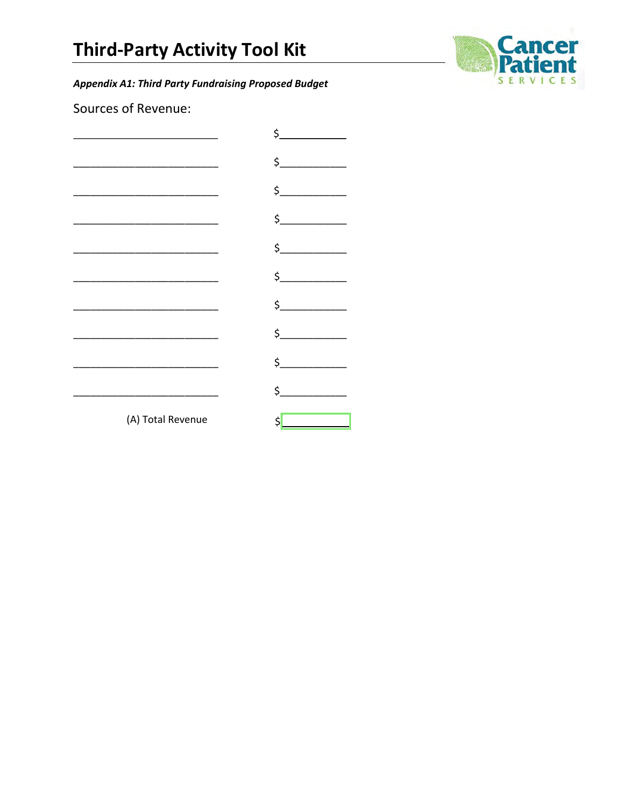**Appendix A1: Third Party Fundraising Proposed Budget** 



Sources of Revenue:

|                   | \$                    |
|-------------------|-----------------------|
|                   | $\frac{1}{2}$         |
|                   | $\frac{1}{2}$         |
|                   |                       |
|                   | $\frac{1}{2}$         |
|                   | $\sharp$              |
|                   | $\frac{1}{2}$         |
|                   | $\zeta$               |
|                   | $\sharp$              |
|                   | $\sharp$ and $\sharp$ |
| (A) Total Revenue | Ś                     |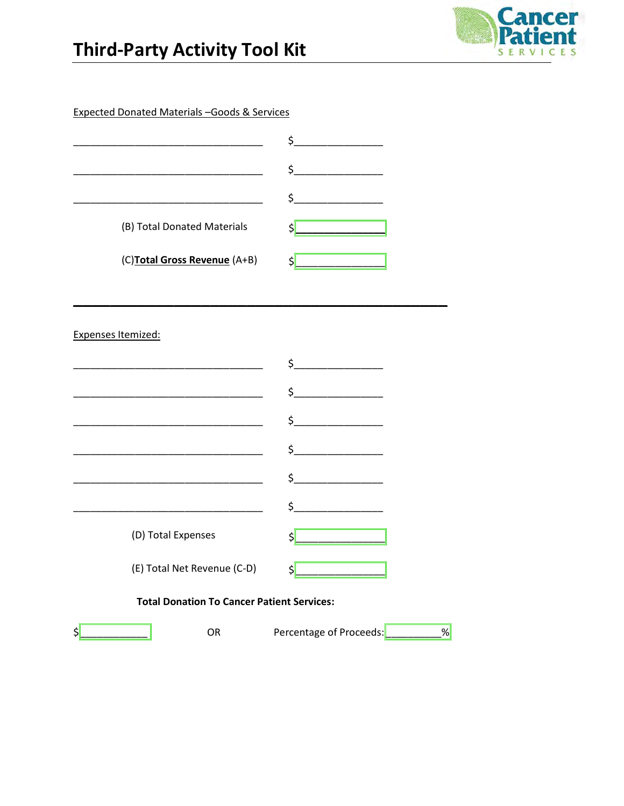



**Expected Donated Materials - Goods & Services** 

| (B) Total Donated Materials  |  |
|------------------------------|--|
| (C)Total Gross Revenue (A+B) |  |

Expenses Itemized:

|                                                   | ς        |  |
|---------------------------------------------------|----------|--|
|                                                   | \$       |  |
|                                                   | \$_      |  |
|                                                   | $\sharp$ |  |
|                                                   | \$_      |  |
|                                                   | \$       |  |
| (D) Total Expenses                                |          |  |
| (E) Total Net Revenue (C-D)                       | \$       |  |
| <b>Total Donation To Cancer Patient Services:</b> |          |  |

 $\frac{1}{2}$ 

 ${\sf OR}$ 

Percentage of Proceeds:  $\sqrt{8}$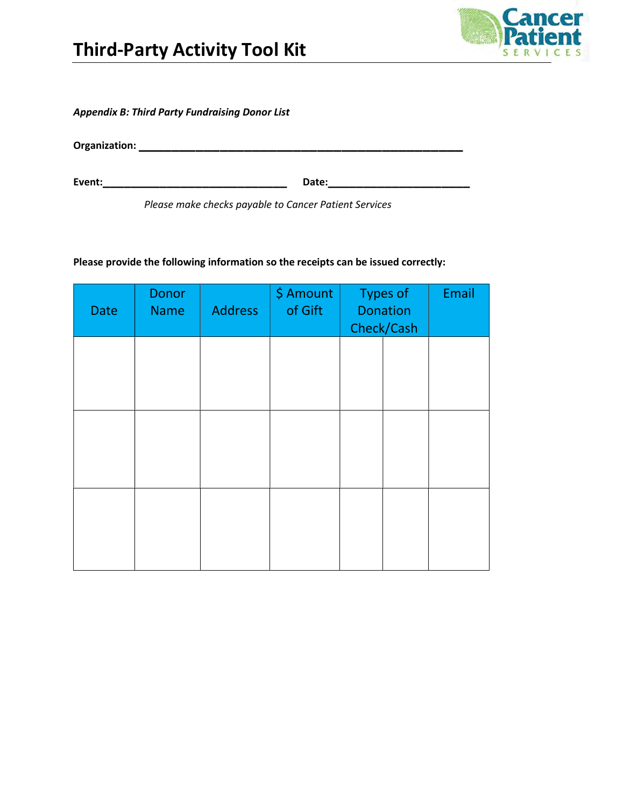

Appendix B: Third Party Fundraising Donor List

Organization: \_\_\_\_\_\_\_\_\_\_\_\_\_\_\_\_\_\_\_\_\_\_\_\_\_\_\_\_\_\_\_\_\_\_\_\_\_\_\_\_

Event:\_\_\_\_\_\_\_\_\_\_\_\_\_\_\_\_\_\_\_\_\_\_\_\_\_\_ Date:\_\_\_\_\_\_\_\_\_\_\_\_\_\_\_\_\_\_\_\_

Please make checks payable to Cancer Patient Services

Please provide the following information so the receipts can be issued correctly:

| Date | Donor<br><b>Name</b> | <b>Address</b> | \$ Amount<br>of Gift | <b>Types of</b><br><b>Donation</b><br>Check/Cash | Email |
|------|----------------------|----------------|----------------------|--------------------------------------------------|-------|
|      |                      |                |                      |                                                  |       |
|      |                      |                |                      |                                                  |       |
|      |                      |                |                      |                                                  |       |
|      |                      |                |                      |                                                  |       |
|      |                      |                |                      |                                                  |       |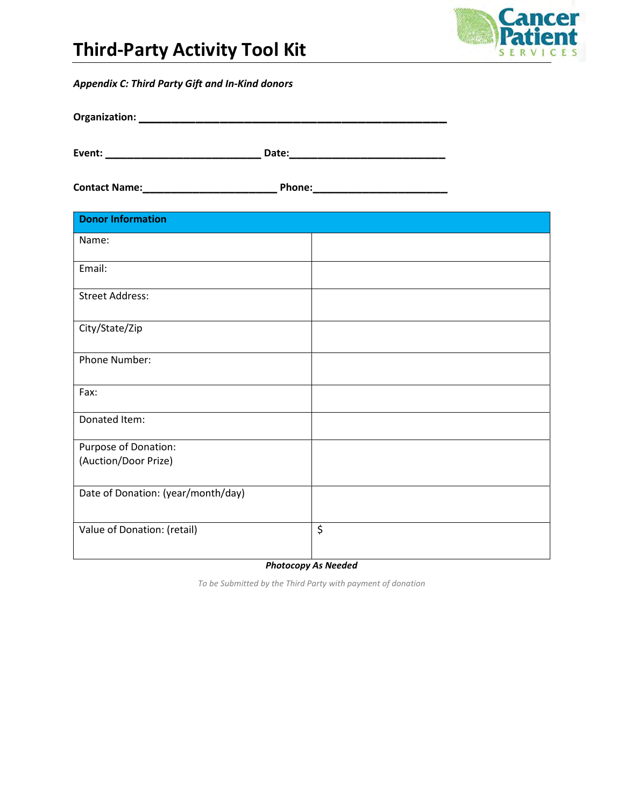

#### Appendix C: Third Party Gift and In-Kind donors

| Organization: |       |
|---------------|-------|
|               |       |
| Event:        | Date: |

Contact Name:\_\_\_\_\_\_\_\_\_\_\_\_\_\_\_\_\_\_\_ Phone:\_\_\_\_\_\_\_\_\_\_\_\_\_\_\_\_\_\_\_

| <b>Donor Information</b>           |    |
|------------------------------------|----|
| Name:                              |    |
| Email:                             |    |
| <b>Street Address:</b>             |    |
| City/State/Zip                     |    |
| Phone Number:                      |    |
| Fax:                               |    |
| Donated Item:                      |    |
| Purpose of Donation:               |    |
| (Auction/Door Prize)               |    |
| Date of Donation: (year/month/day) |    |
| Value of Donation: (retail)        | \$ |

Photocopy As Needed

To be Submitted by the Third Party with payment of donation